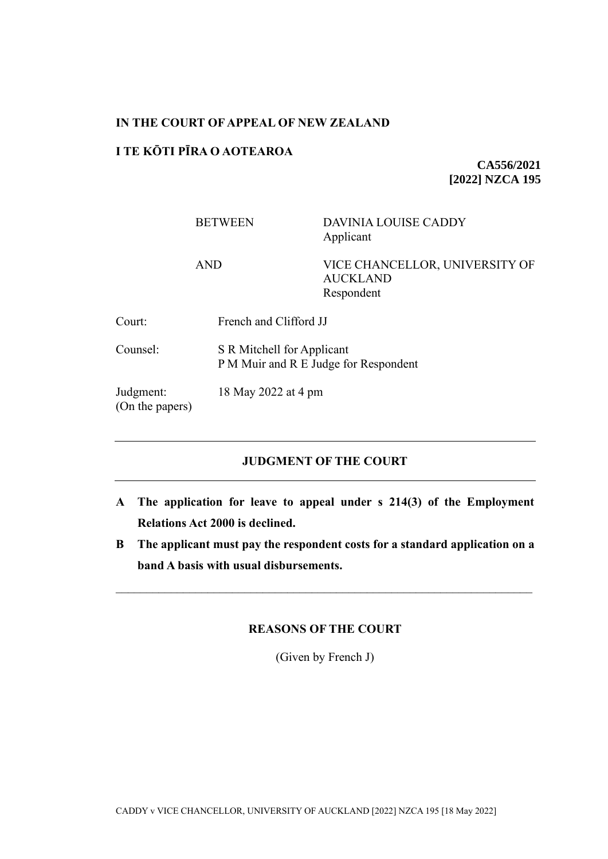#### **IN THE COURT OF APPEAL OF NEW ZEALAND**

## **I TE KŌTI PĪRA O AOTEAROA**

**CA556/2021 [2022] NZCA 195**

## BETWEEN DAVINIA LOUISE CADDY Applicant

AND VICE CHANCELLOR, UNIVERSITY OF AUCKLAND Respondent

| Court: | French and Clifford JJ |
|--------|------------------------|
|        |                        |

Counsel: S R Mitchell for Applicant P M Muir and R E Judge for Respondent

Judgment: 18 May 2022 at 4 pm

(On the papers)

# **JUDGMENT OF THE COURT**

- **A The application for leave to appeal under s 214(3) of the Employment Relations Act 2000 is declined.**
- **B The applicant must pay the respondent costs for a standard application on a band A basis with usual disbursements.**

## **REASONS OF THE COURT**

(Given by French J)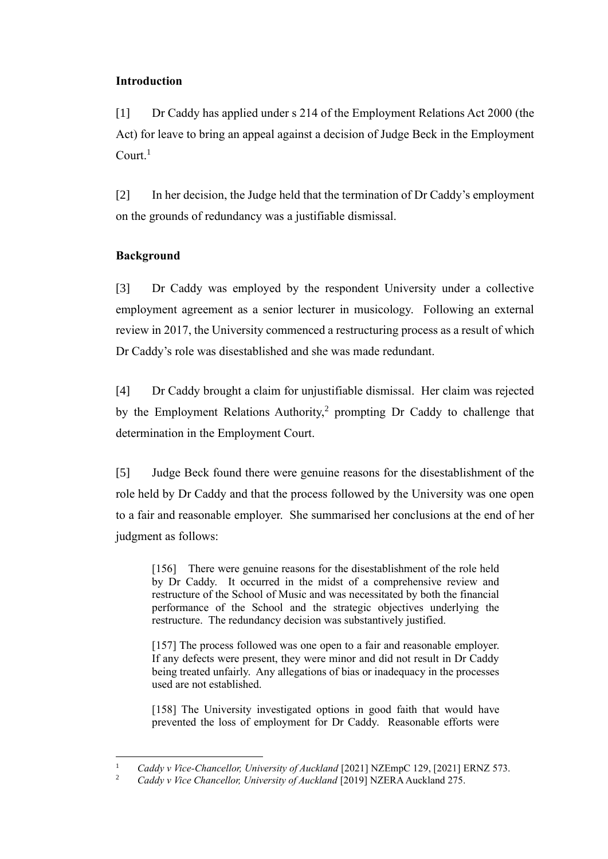## **Introduction**

[1] Dr Caddy has applied under s 214 of the Employment Relations Act 2000 (the Act) for leave to bring an appeal against a decision of Judge Beck in the Employment  $Count<sup>1</sup>$ 

[2] In her decision, the Judge held that the termination of Dr Caddy's employment on the grounds of redundancy was a justifiable dismissal.

## **Background**

[3] Dr Caddy was employed by the respondent University under a collective employment agreement as a senior lecturer in musicology. Following an external review in 2017, the University commenced a restructuring process as a result of which Dr Caddy's role was disestablished and she was made redundant.

[4] Dr Caddy brought a claim for unjustifiable dismissal. Her claim was rejected by the Employment Relations Authority, $2$  prompting Dr Caddy to challenge that determination in the Employment Court.

[5] Judge Beck found there were genuine reasons for the disestablishment of the role held by Dr Caddy and that the process followed by the University was one open to a fair and reasonable employer. She summarised her conclusions at the end of her judgment as follows:

[156] There were genuine reasons for the disestablishment of the role held by Dr Caddy. It occurred in the midst of a comprehensive review and restructure of the School of Music and was necessitated by both the financial performance of the School and the strategic objectives underlying the restructure. The redundancy decision was substantively justified.

[157] The process followed was one open to a fair and reasonable employer. If any defects were present, they were minor and did not result in Dr Caddy being treated unfairly. Any allegations of bias or inadequacy in the processes used are not established.

[158] The University investigated options in good faith that would have prevented the loss of employment for Dr Caddy. Reasonable efforts were

<sup>&</sup>lt;sup>1</sup> *Caddy v Vice-Chancellor, University of Auckland* [2021] NZEmpC 129, [2021] ERNZ 573.<br><sup>2</sup> *Caddy v Vice Chancellow University of Augkland* [2010] NZER A Augkland 275

<sup>2</sup> *Caddy v Vice Chancellor, University of Auckland* [2019] NZERA Auckland 275.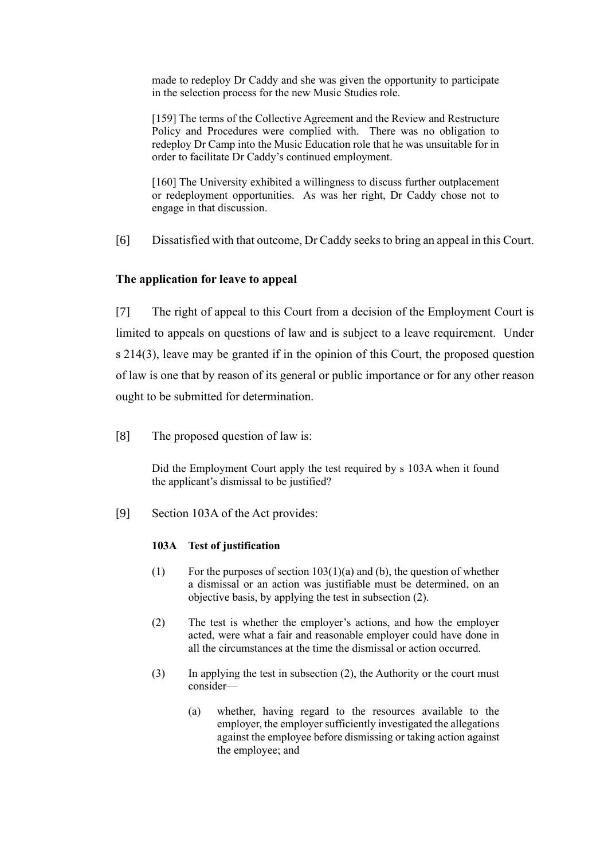made to redeploy Dr Caddy and she was given the opportunity to participate in the selection process for the new Music Studies role.

[159] The terms of the Collective Agreement and the Review and Restructure Policy and Procedures were complied with. There was no obligation to redeploy Dr Camp into the Music Education role that he was unsuitable for in order to facilitate Dr Caddy's continued employment.

[160] The University exhibited a willingness to discuss further outplacement or redeployment opportunities. As was her right, Dr Caddy chose not to engage in that discussion.

[6] Dissatisfied with that outcome, Dr Caddy seeks to bring an appeal in this Court.

#### **The application for leave to appeal**

[7] The right of appeal to this Court from a decision of the Employment Court is limited to appeals on questions of law and is subject to a leave requirement. Under s 214(3), leave may be granted if in the opinion of this Court, the proposed question of law is one that by reason of its general or public importance or for any other reason ought to be submitted for determination.

[8] The proposed question of law is:

Did the Employment Court apply the test required by s 103A when it found the applicant's dismissal to be justified?

[9] Section 103A of the Act provides:

#### **103A Test of justification**

- (1) For the purposes of section  $103(1)(a)$  and (b), the question of whether a dismissal or an action was justifiable must be determined, on an objective basis, by applying the test in subsection (2).
- (2) The test is whether the employer's actions, and how the employer acted, were what a fair and reasonable employer could have done in all the circumstances at the time the dismissal or action occurred.
- (3) In applying the test in subsection (2), the Authority or the court must consider—
	- (a) whether, having regard to the resources available to the employer, the employer sufficiently investigated the allegations against the employee before dismissing or taking action against the employee; and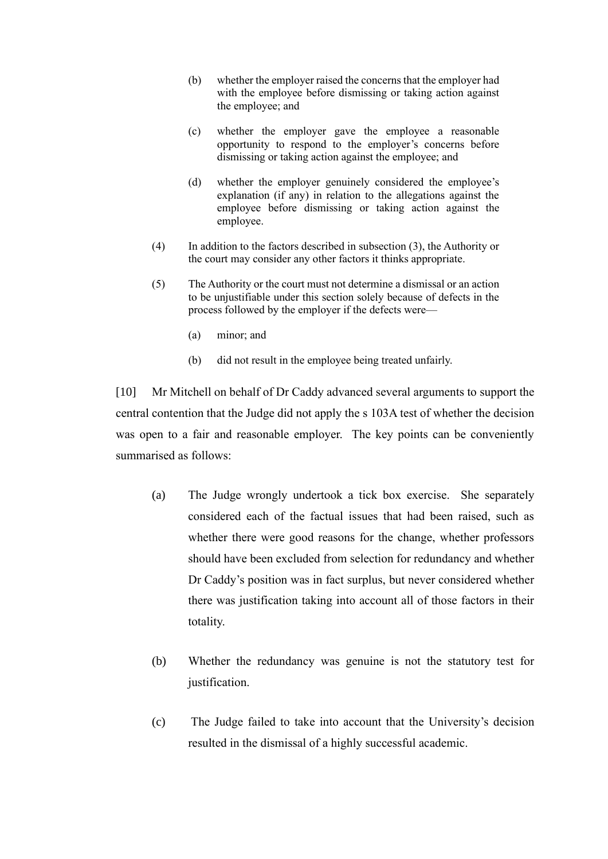- (b) whether the employer raised the concerns that the employer had with the employee before dismissing or taking action against the employee; and
- (c) whether the employer gave the employee a reasonable opportunity to respond to the employer's concerns before dismissing or taking action against the employee; and
- (d) whether the employer genuinely considered the employee's explanation (if any) in relation to the allegations against the employee before dismissing or taking action against the employee.
- (4) In addition to the factors described in subsection (3), the Authority or the court may consider any other factors it thinks appropriate.
- (5) The Authority or the court must not determine a dismissal or an action to be unjustifiable under this section solely because of defects in the process followed by the employer if the defects were—
	- (a) minor; and
	- (b) did not result in the employee being treated unfairly.

[10] Mr Mitchell on behalf of Dr Caddy advanced several arguments to support the central contention that the Judge did not apply the s 103A test of whether the decision was open to a fair and reasonable employer. The key points can be conveniently summarised as follows:

- (a) The Judge wrongly undertook a tick box exercise. She separately considered each of the factual issues that had been raised, such as whether there were good reasons for the change, whether professors should have been excluded from selection for redundancy and whether Dr Caddy's position was in fact surplus, but never considered whether there was justification taking into account all of those factors in their totality.
- (b) Whether the redundancy was genuine is not the statutory test for justification.
- (c) The Judge failed to take into account that the University's decision resulted in the dismissal of a highly successful academic.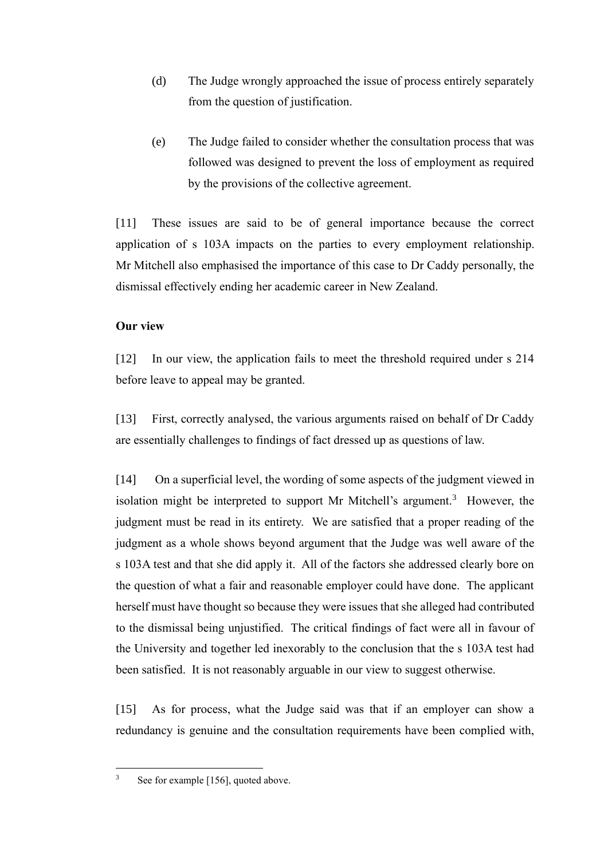- (d) The Judge wrongly approached the issue of process entirely separately from the question of justification.
- (e) The Judge failed to consider whether the consultation process that was followed was designed to prevent the loss of employment as required by the provisions of the collective agreement.

[11] These issues are said to be of general importance because the correct application of s 103A impacts on the parties to every employment relationship. Mr Mitchell also emphasised the importance of this case to Dr Caddy personally, the dismissal effectively ending her academic career in New Zealand.

### **Our view**

[12] In our view, the application fails to meet the threshold required under s 214 before leave to appeal may be granted.

[13] First, correctly analysed, the various arguments raised on behalf of Dr Caddy are essentially challenges to findings of fact dressed up as questions of law.

[14] On a superficial level, the wording of some aspects of the judgment viewed in isolation might be interpreted to support Mr Mitchell's argument.<sup>3</sup> However, the judgment must be read in its entirety. We are satisfied that a proper reading of the judgment as a whole shows beyond argument that the Judge was well aware of the s 103A test and that she did apply it. All of the factors she addressed clearly bore on the question of what a fair and reasonable employer could have done. The applicant herself must have thought so because they were issues that she alleged had contributed to the dismissal being unjustified. The critical findings of fact were all in favour of the University and together led inexorably to the conclusion that the s 103A test had been satisfied. It is not reasonably arguable in our view to suggest otherwise.

[15] As for process, what the Judge said was that if an employer can show a redundancy is genuine and the consultation requirements have been complied with,

<sup>3</sup> See for example [156], quoted above.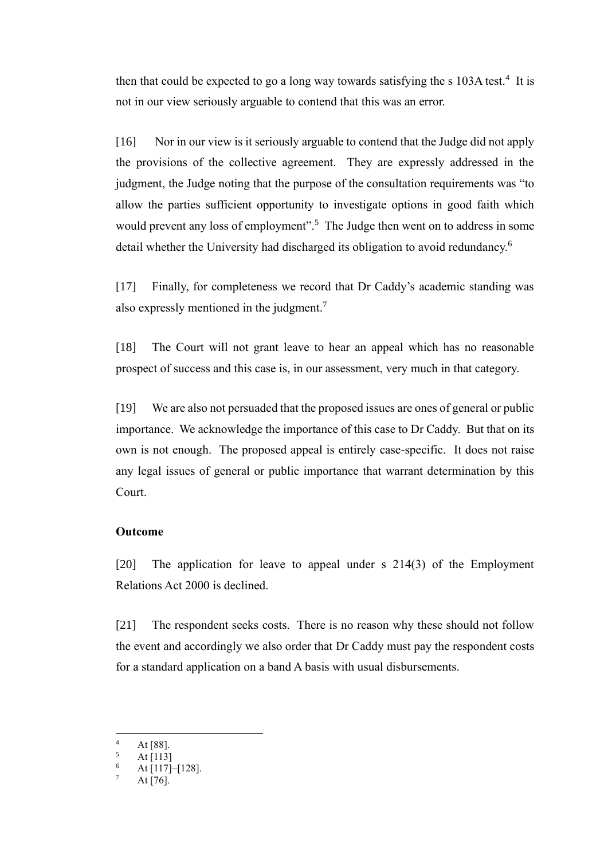then that could be expected to go a long way towards satisfying the s  $103A$  test.<sup>4</sup> It is not in our view seriously arguable to contend that this was an error.

[16] Nor in our view is it seriously arguable to contend that the Judge did not apply the provisions of the collective agreement. They are expressly addressed in the judgment, the Judge noting that the purpose of the consultation requirements was "to allow the parties sufficient opportunity to investigate options in good faith which would prevent any loss of employment".<sup>5</sup> The Judge then went on to address in some detail whether the University had discharged its obligation to avoid redundancy.<sup>6</sup>

[17] Finally, for completeness we record that Dr Caddy's academic standing was also expressly mentioned in the judgment.<sup>7</sup>

[18] The Court will not grant leave to hear an appeal which has no reasonable prospect of success and this case is, in our assessment, very much in that category.

[19] We are also not persuaded that the proposed issues are ones of general or public importance. We acknowledge the importance of this case to Dr Caddy. But that on its own is not enough. The proposed appeal is entirely case-specific. It does not raise any legal issues of general or public importance that warrant determination by this Court.

#### **Outcome**

[20] The application for leave to appeal under s 214(3) of the Employment Relations Act 2000 is declined.

[21] The respondent seeks costs. There is no reason why these should not follow the event and accordingly we also order that Dr Caddy must pay the respondent costs for a standard application on a band A basis with usual disbursements.

 $4$  At [88].

 $\frac{5}{6}$  At [113]

At [117]–[128].

At [76].